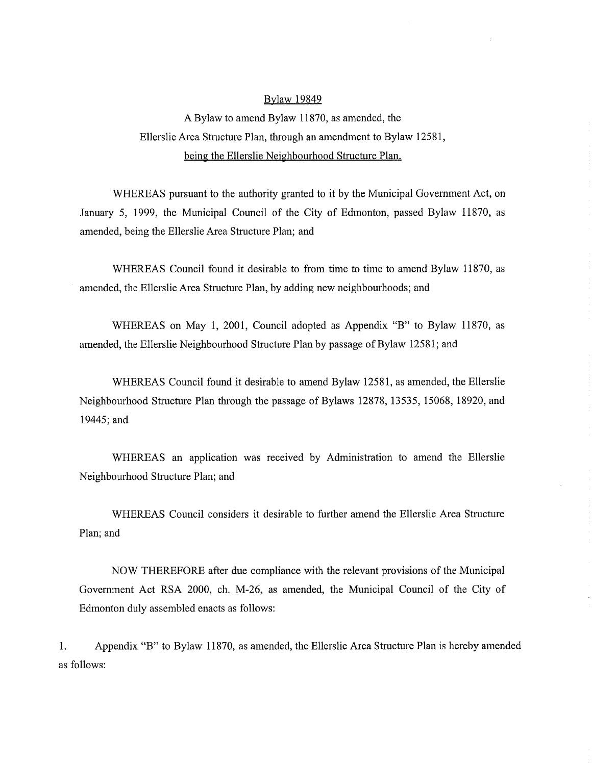## Bylaw 19849

A Bylaw to amend Bylaw 11870, as amended, the Ellerslie Area Structure Plan, through an amendment to Bylaw 12581, being the Ellerslie Neighbourhood Structure Plan.

WHEREAS pursuant to the authority granted to it by the Municipal Government Act, on January 5, 1999, the Municipal Council of the City of Edmonton, passed Bylaw 11870, as amended, being the Ellerslie Area Structure Plan; and

WHEREAS Council found it desirable to from time to time to amend Bylaw 11870, as amended, the Ellerslie Area Structure Plan, by adding new neighbourhoods; and

WHEREAS on May 1, 2001, Council adopted as Appendix "B" to Bylaw 11870, as amended, the Ellerslie Neighbourhood Structure Plan by passage of Bylaw 12581; and

WHEREAS Council found it desirable to amend Bylaw 12581, as amended, the Ellerslie Neighbourhood Structure Plan through the passage of Bylaws 12878, 13535, 15068, 18920, and 19445; and

WHEREAS an application was received by Administration to amend the Ellerslie Neighbourhood Structure Plan; and

WHEREAS Council considers it desirable to further amend the Ellerslie Area Structure Plan; and

NOW THEREFORE after due compliance with the relevant provisions of the Municipal Government Act RSA 2000, ch. M-26, as amended, the Municipal Council of the City of Edmonton duly assembled enacts as follows:

1. Appendix "B" to Bylaw 11870, as amended, the Ellerslie Area Structure Plan is hereby amended as follows: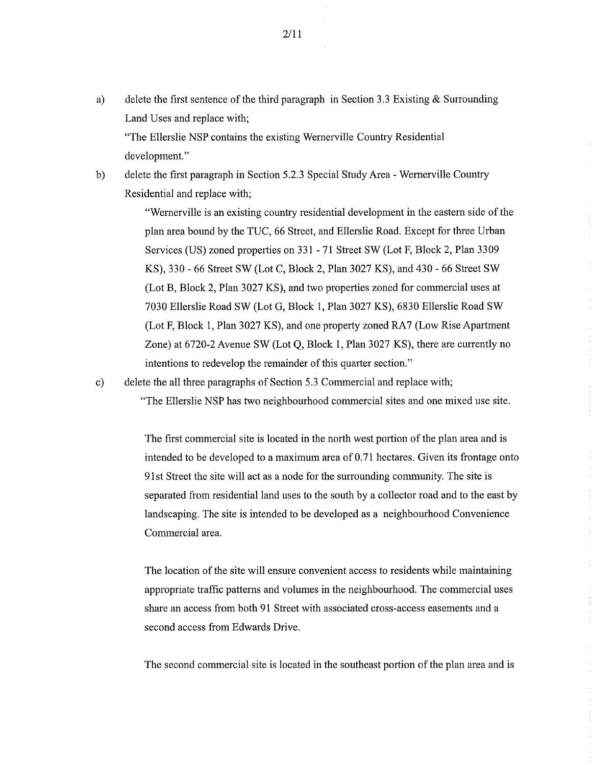a) delete the first sentence of the third paragraph in Section 3.3 Existing  $\&$  Surrounding Land Uses and replace with;

"The Ellerslie NSP contains the existing Wernerville Country Residential development."

b) delete the first paragraph in Section 5.2.3 Special Study Area - Wernerville Country Residential and replace with;

> "Wernerville is an existing country residential development in the eastern side of the plan area bound by the TUC, 66 Street, and Ellerslie Road. Except for three Urban Services (US) zoned properties on 331 - 71 Street SW (Lot F, Block 2, Plan 3309 KS), 330 - 66 Street SW (Lot C, Block 2, Plan 3027 KS), and 430 - 66 Street SW (Lot B, Block 2, Plan 3027 KS), and two properties zoned for commercial uses at 7030 Ellerslie Road SW (Lot G, Block 1, Plan 3027 KS), 6830 Ellerslie Road SW (Lot F, Block 1, Plan 3027 KS), and one property zoned RA7 (Low Rise Apartment Zone) at 6720-2 Avenue SW (Lot Q, Block 1, Plan 3027 KS), there are currently no intentions to redevelop the remainder of this quarter section."

c) delete the all three paragraphs of Section 5.3 Commercial and replace with; "The Ellerslie NSP has two neighbourhood commercial sites and one mixed use site.

> The first commercial site is located in the north west portion of the plan area and is intended to be developed to a maximum area of 0.71 hectares. Given its frontage onto 91st Street the site will act as a node for the surrounding community. The site is separated from residential land uses to the south by a collector road and to the east by landscaping. The site is intended to be developed as a neighbourhood Convenience Commercial area.

The location of the site will ensure convenient access to residents while maintaining appropriate traffic patterns and volumes in the neighbourhood. The commercial uses share an access from both 91 Street with associated cross-access easements and a second access from Edwards Drive.

The second commercial site is located in the southeast portion of the plan area and is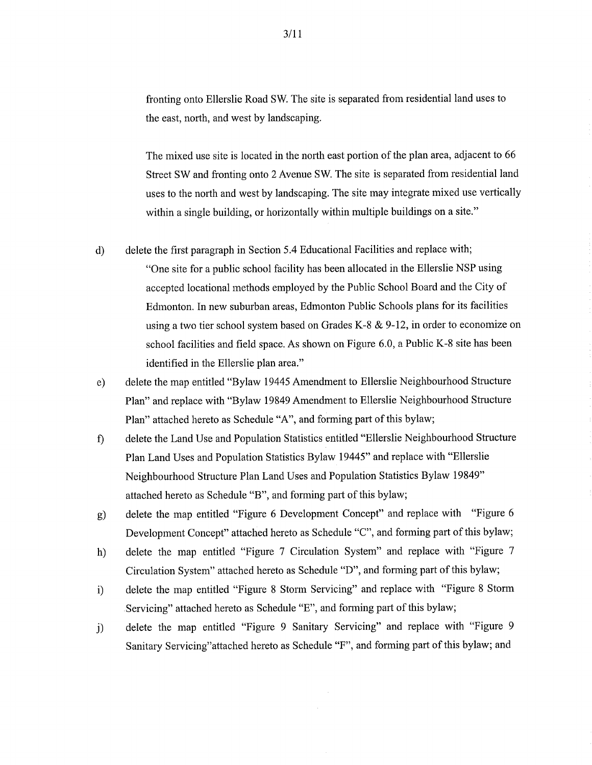fronting onto Ellerslie Road SW. The site is separated from residential land uses to the east, north, and west by landscaping.

The mixed use site is located in the north east portion of the plan area, adjacent to 66 Street SW and fronting onto 2 Avenue SW. The site is separated from residential land uses to the north and west by landscaping. The site may integrate mixed use vertically within a single building, or horizontally within multiple buildings on a site."

- d) delete the first paragraph in Section 5.4 Educational Facilities and replace with; "One site for a public school facility has been allocated in the Ellerslie NSP using accepted locational methods employed by the Public School Board and the City of Edmonton. In new suburban areas, Edmonton Public Schools plans for its facilities using a two tier school system based on Grades K-8 & 9-12, in order to economize on school facilities and field space. As shown on Figure 6.0, a Public K-8 site has been identified in the Ellerslie plan area."
- e) delete the map entitled "Bylaw 19445 Amendment to Ellerslie Neighbourhood Structure Plan" and replace with "Bylaw 19849 Amendment to Ellerslie Neighbourhood Structure Plan" attached hereto as Schedule "A", and forming part of this bylaw;
- delete the Land Use and Population Statistics entitled "Ellerslie Neighbourhood Structure  $\mathbf{f}$ Plan Land Uses and Population Statistics Bylaw 19445" and replace with "Ellerslie Neighbourhood Structure Plan Land Uses and Population Statistics Bylaw 19849" attached hereto as Schedule "B", and forming part of this bylaw;
- g) delete the map entitled "Figure 6 Development Concept" and replace with "Figure 6 Development Concept" attached hereto as Schedule "C", and forming part of this bylaw;
- h) delete the map entitled "Figure 7 Circulation System" and replace with "Figure 7 Circulation System" attached hereto as Schedule "D", and forming part of this bylaw;
- delete the map entitled "Figure 8 Storm Servicing" and replace with "Figure 8 Storm  $i)$ Servicing" attached hereto as Schedule "E", and forming part of this bylaw;
- i) delete the map entitled "Figure 9 Sanitary Servicing" and replace with "Figure 9 Sanitary Servicing"attached hereto as Schedule "F", and forming part of this bylaw; and

3/11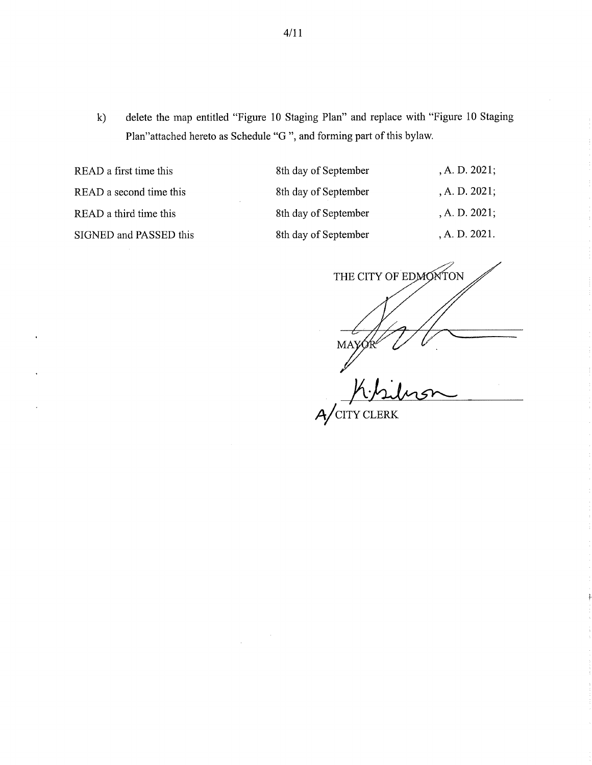k) delete the map entitled "Figure 10 Staging Plan" and replace with "Figure 10 Staging Plan"attached hereto as Schedule "G ", and forming part of this bylaw.

READ a first time this READ a second time this READ a third time this SIGNED and PASSED this

| 8th day of September | , A. D. 2021; |
|----------------------|---------------|
| 8th day of September | , A. D. 2021; |
| 8th day of September | , A. D. 2021; |
| 8th day of September | , A. D. 2021. |

THE CITY OF EDMONTON MAYQ

A/CITY CLERK

 $\hat{\mathcal{A}}$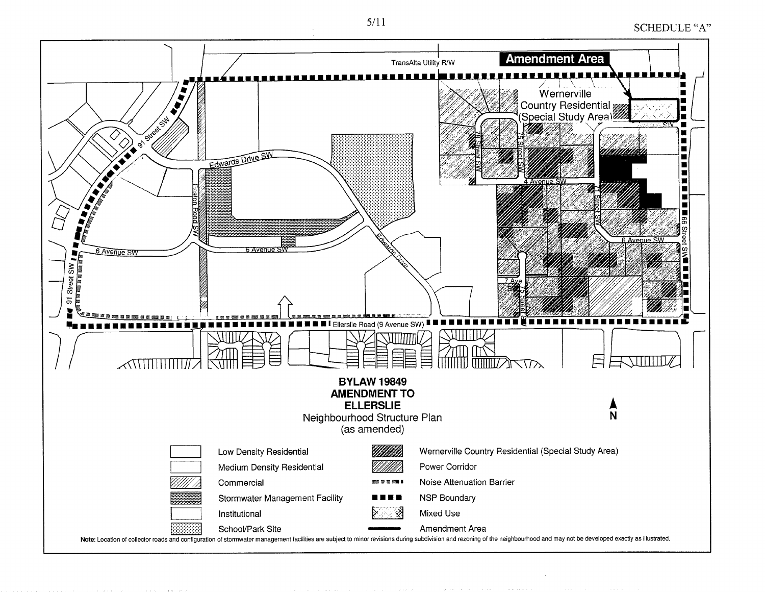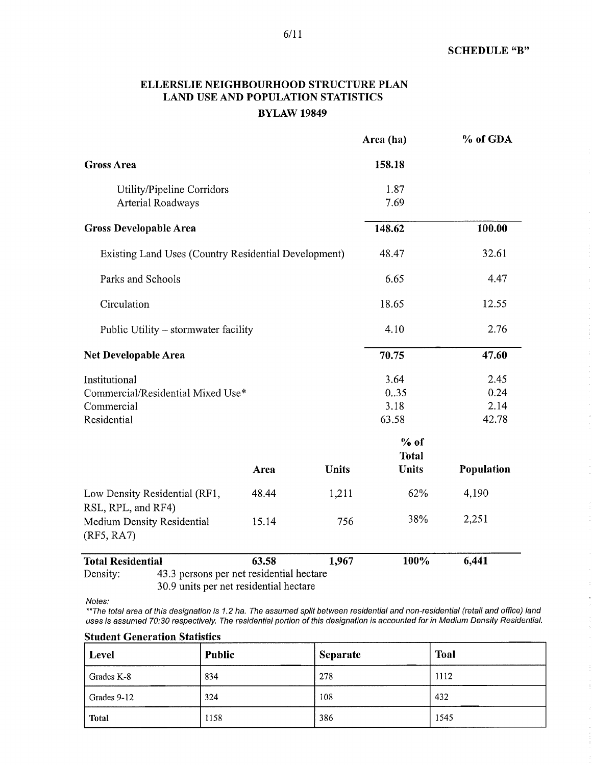## ELLERSLIE NEIGHBOURHOOD STRUCTURE PLAN LAND USE AND POPULATION STATISTICS BYLAW 19849

|                                                                                 |       |              | Area (ha)                              | % of GDA                      |
|---------------------------------------------------------------------------------|-------|--------------|----------------------------------------|-------------------------------|
| <b>Gross Area</b>                                                               |       |              | 158.18                                 |                               |
| Utility/Pipeline Corridors<br>Arterial Roadways                                 |       | 1.87<br>7.69 |                                        |                               |
| <b>Gross Developable Area</b>                                                   |       | 148.62       | 100.00                                 |                               |
| Existing Land Uses (Country Residential Development)                            |       | 48.47        | 32.61                                  |                               |
| Parks and Schools                                                               |       | 6.65         | 4.47                                   |                               |
| Circulation                                                                     |       | 18.65        | 12.55                                  |                               |
| Public Utility – stormwater facility                                            |       | 4.10         | 2.76                                   |                               |
| Net Developable Area                                                            |       |              | 70.75                                  | 47.60                         |
| Institutional<br>Commercial/Residential Mixed Use*<br>Commercial<br>Residential |       |              | 3.64<br>0.35<br>3.18<br>63.58          | 2.45<br>0.24<br>2.14<br>42.78 |
|                                                                                 | Area  | <b>Units</b> | $%$ of<br><b>Total</b><br><b>Units</b> | Population                    |
| Low Density Residential (RF1,<br>RSL, RPL, and RF4)                             | 48.44 | 1,211        | 62%                                    | 4,190                         |
| <b>Medium Density Residential</b><br>(RF5, RA7)                                 | 15.14 | 756          | 38%                                    | 2,251                         |
| <b>Total Residential</b>                                                        | 63.58 | 1,967        | 100%                                   | 6,441                         |
| 43.3 persons per net residential hectare<br>Density:                            |       |              |                                        |                               |

30.9 units per net residential hectare

Notes:

\*\*The total area of this designation is 1.2 ha. The assumed split between residential and non-residential (retail and office) land uses is assumed 70:30 respectively. The residential portion of this designation is accounted for in Medium Density Residential.

Student Generation Statistics

| Level        | Public | <b>Separate</b> | Toal |  |
|--------------|--------|-----------------|------|--|
| Grades K-8   | 834    | 278             | 1112 |  |
| Grades 9-12  | 324    | 108             | 432  |  |
| <b>Total</b> | 1158   | 386             | 1545 |  |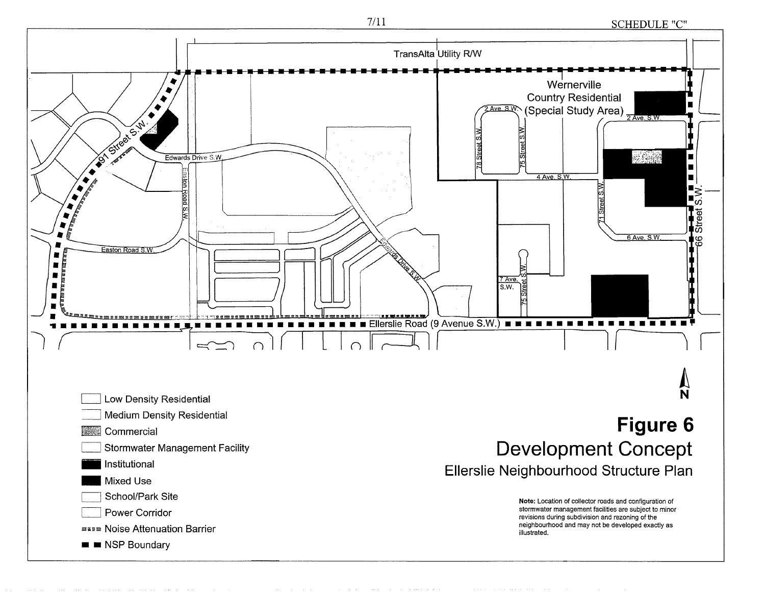7/11 SCHEDULE "C"

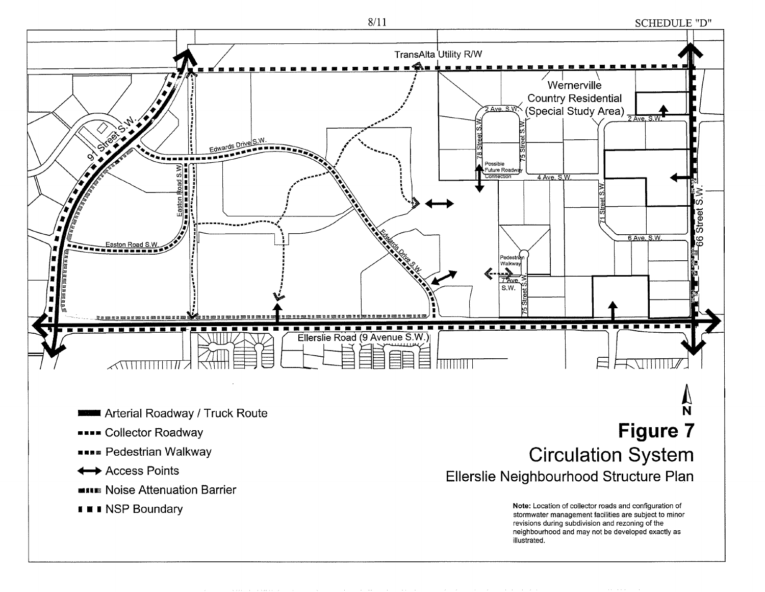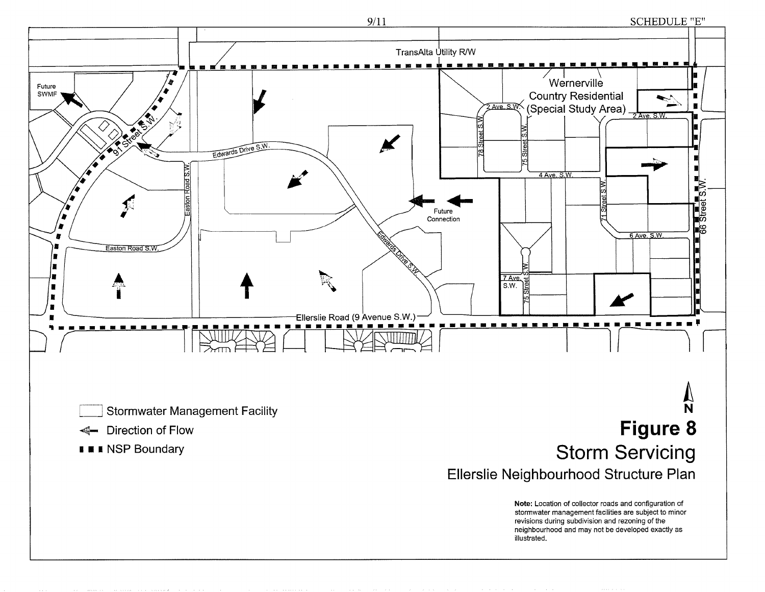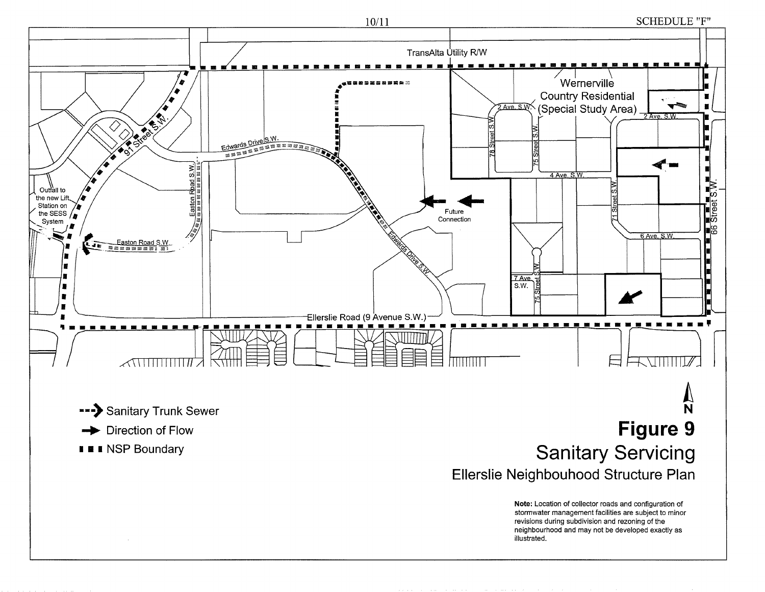

**SCHEDULE "F"**